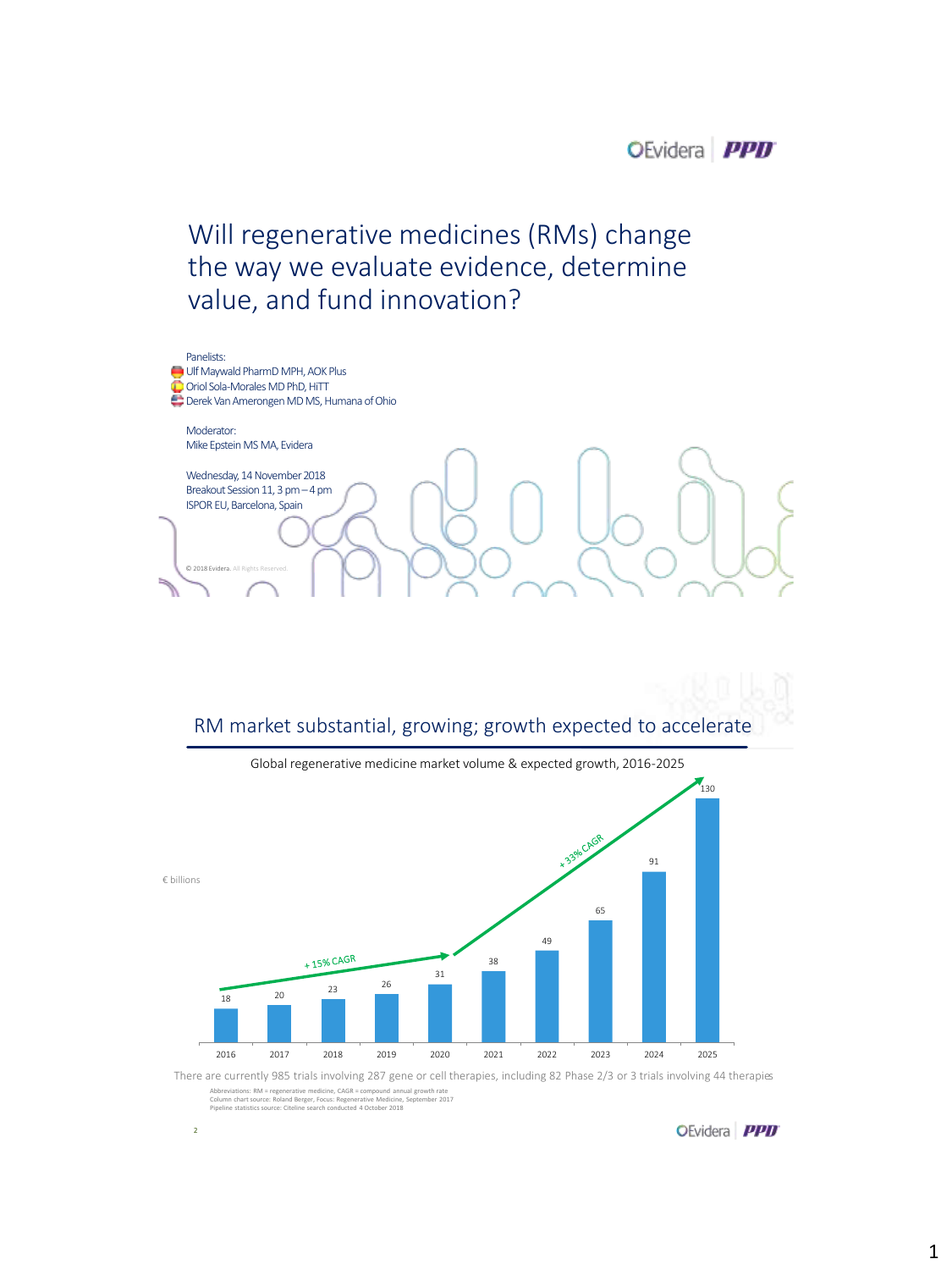# Will regenerative medicines (RMs) change the way we evaluate evidence, determine value, and fund innovation?



## RM market substantial, growing; growth expected to accelerate



Abbreviations: RM = regenerative medicine, CAGR = compound annual growth rate<br>Column chart source: Roland Berger, Focus: Regenerative Medicine, September 2017<br>Pipeline statistics source: Citeline search conducted 4 October There are currently 985 trials involving 287 gene or cell therapies, including 82 Phase 2/3 or 3 trials involving 44 therapies

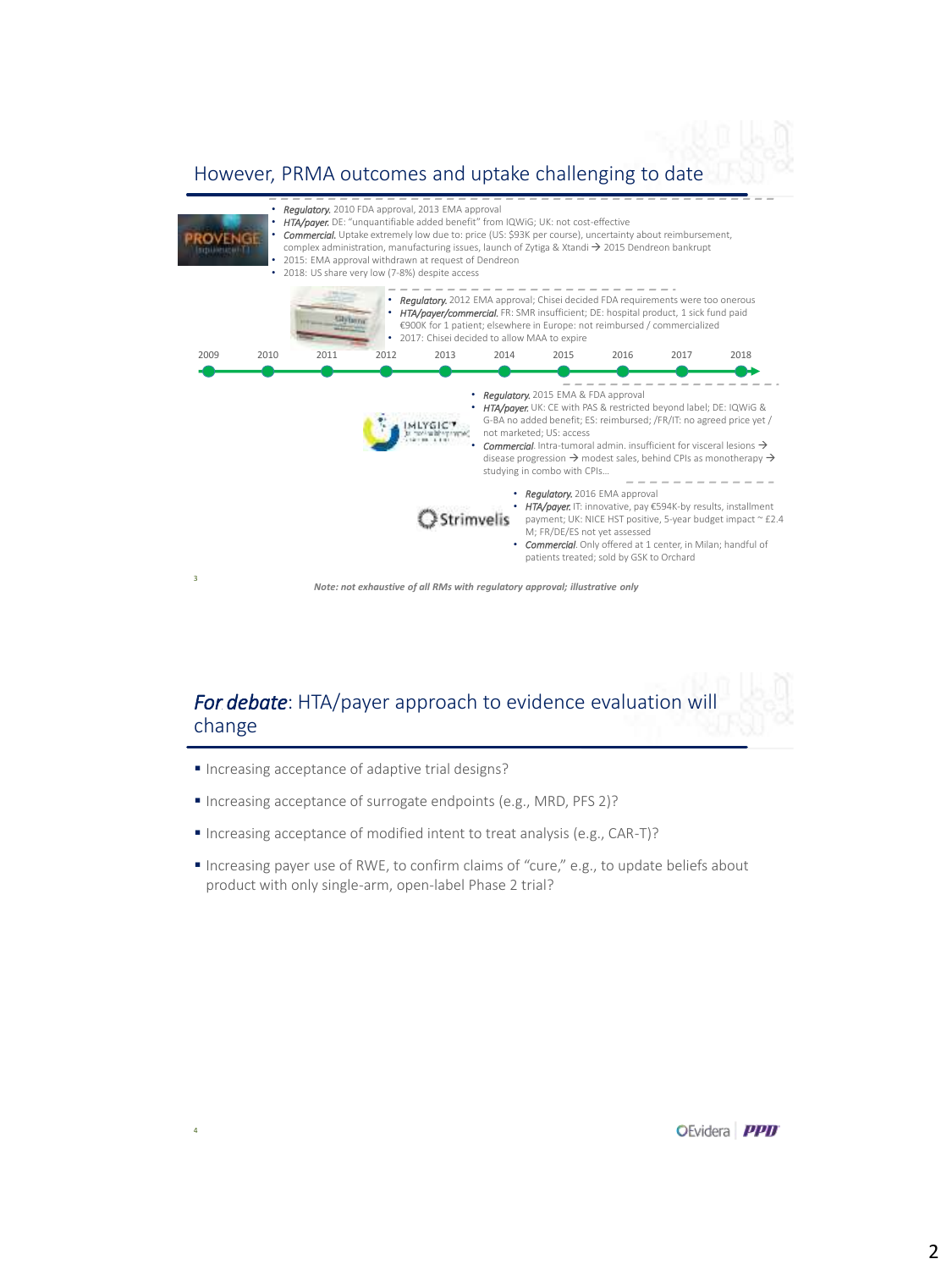#### However, PRMA outcomes and uptake challenging to date



## *For debate*: HTA/payer approach to evidence evaluation will change

Increasing acceptance of adaptive trial designs?

4

- Increasing acceptance of surrogate endpoints (e.g., MRD, PFS 2)?
- Increasing acceptance of modified intent to treat analysis (e.g., CAR-T)?
- Increasing payer use of RWE, to confirm claims of "cure," e.g., to update beliefs about product with only single-arm, open-label Phase 2 trial?